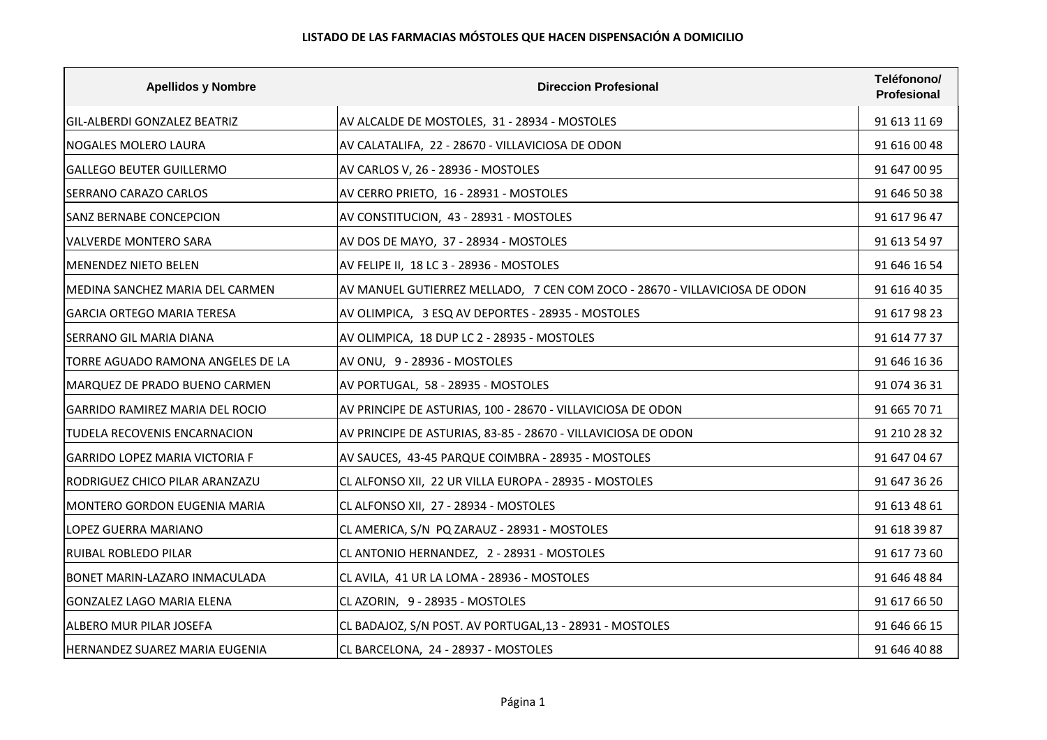| <b>Apellidos y Nombre</b>              | <b>Direccion Profesional</b>                                               | Teléfonono/<br>Profesional |
|----------------------------------------|----------------------------------------------------------------------------|----------------------------|
| <b>GIL-ALBERDI GONZALEZ BEATRIZ</b>    | AV ALCALDE DE MOSTOLES, 31 - 28934 - MOSTOLES                              | 91 613 11 69               |
| <b>NOGALES MOLERO LAURA</b>            | AV CALATALIFA, 22 - 28670 - VILLAVICIOSA DE ODON                           | 91 616 00 48               |
| GALLEGO BEUTER GUILLERMO               | AV CARLOS V, 26 - 28936 - MOSTOLES                                         | 91 647 00 95               |
| <b>SERRANO CARAZO CARLOS</b>           | AV CERRO PRIETO, 16 - 28931 - MOSTOLES                                     | 91 646 50 38               |
| <b>SANZ BERNABE CONCEPCION</b>         | AV CONSTITUCION, 43 - 28931 - MOSTOLES                                     | 91 617 96 47               |
| VALVERDE MONTERO SARA                  | AV DOS DE MAYO, 37 - 28934 - MOSTOLES                                      | 91 613 54 97               |
| MENENDEZ NIETO BELEN                   | AV FELIPE II, 18 LC 3 - 28936 - MOSTOLES                                   | 91 646 16 54               |
| MEDINA SANCHEZ MARIA DEL CARMEN        | AV MANUEL GUTIERREZ MELLADO, 7 CEN COM ZOCO - 28670 - VILLAVICIOSA DE ODON | 91 616 40 35               |
| <b>GARCIA ORTEGO MARIA TERESA</b>      | AV OLIMPICA, 3 ESQ AV DEPORTES - 28935 - MOSTOLES                          | 91 617 98 23               |
| SERRANO GIL MARIA DIANA                | AV OLIMPICA, 18 DUP LC 2 - 28935 - MOSTOLES                                | 91 614 77 37               |
| TORRE AGUADO RAMONA ANGELES DE LA      | AV ONU, 9 - 28936 - MOSTOLES                                               | 91 646 16 36               |
| MARQUEZ DE PRADO BUENO CARMEN          | AV PORTUGAL, 58 - 28935 - MOSTOLES                                         | 91 074 36 31               |
| <b>GARRIDO RAMIREZ MARIA DEL ROCIO</b> | AV PRINCIPE DE ASTURIAS, 100 - 28670 - VILLAVICIOSA DE ODON                | 91 665 70 71               |
| TUDELA RECOVENIS ENCARNACION           | AV PRINCIPE DE ASTURIAS, 83-85 - 28670 - VILLAVICIOSA DE ODON              | 91 210 28 32               |
| <b>GARRIDO LOPEZ MARIA VICTORIA F</b>  | AV SAUCES, 43-45 PARQUE COIMBRA - 28935 - MOSTOLES                         | 91 647 04 67               |
| RODRIGUEZ CHICO PILAR ARANZAZU         | CL ALFONSO XII, 22 UR VILLA EUROPA - 28935 - MOSTOLES                      | 91 647 36 26               |
| MONTERO GORDON EUGENIA MARIA           | CL ALFONSO XII, 27 - 28934 - MOSTOLES                                      | 91 613 48 61               |
| LOPEZ GUERRA MARIANO                   | CL AMERICA, S/N PQ ZARAUZ - 28931 - MOSTOLES                               | 91 618 39 87               |
| RUIBAL ROBLEDO PILAR                   | CL ANTONIO HERNANDEZ, 2 - 28931 - MOSTOLES                                 | 91 617 73 60               |
| <b>BONET MARIN-LAZARO INMACULADA</b>   | CL AVILA, 41 UR LA LOMA - 28936 - MOSTOLES                                 | 91 646 48 84               |
| GONZALEZ LAGO MARIA ELENA              | CL AZORIN, 9 - 28935 - MOSTOLES                                            | 91 617 66 50               |
| ALBERO MUR PILAR JOSEFA                | CL BADAJOZ, S/N POST. AV PORTUGAL, 13 - 28931 - MOSTOLES                   | 91 646 66 15               |
| <b>HERNANDEZ SUAREZ MARIA EUGENIA</b>  | CL BARCELONA, 24 - 28937 - MOSTOLES                                        | 91 646 40 88               |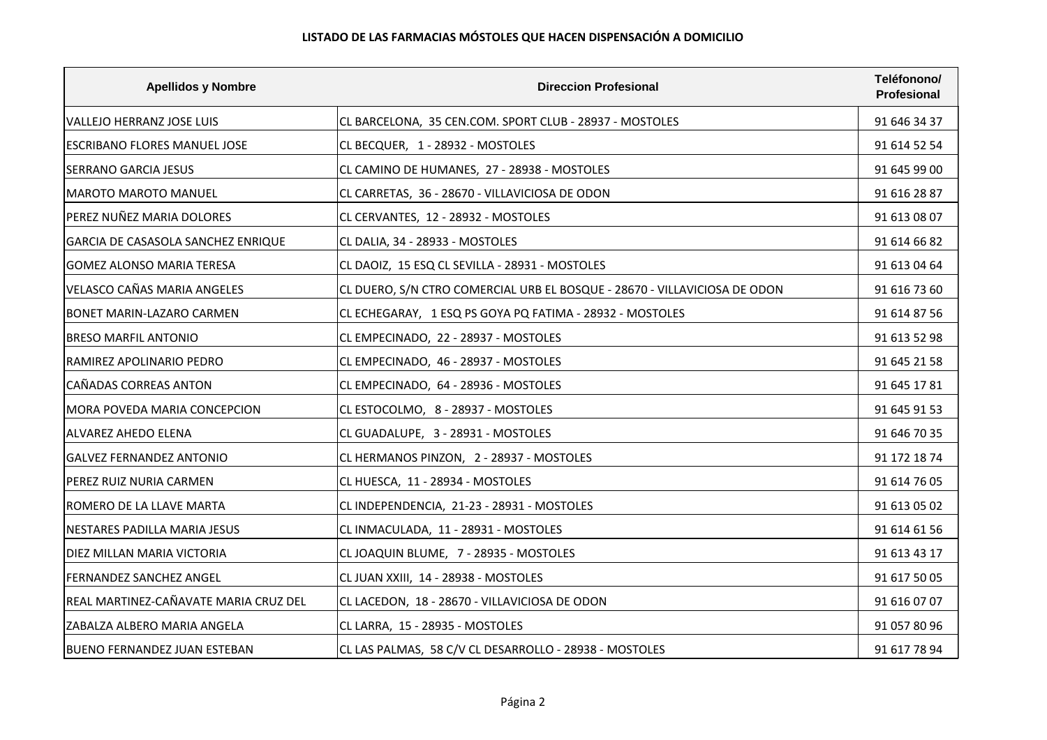## **LISTADO DE LAS FARMACIAS MÓSTOLES QUE HACEN DISPENSACIÓN A DOMICILIO**

| <b>Apellidos y Nombre</b>             | <b>Direccion Profesional</b>                                              | Teléfonono/<br>Profesional |
|---------------------------------------|---------------------------------------------------------------------------|----------------------------|
| VALLEJO HERRANZ JOSE LUIS             | CL BARCELONA, 35 CEN.COM. SPORT CLUB - 28937 - MOSTOLES                   | 91 646 34 37               |
| <b>ESCRIBANO FLORES MANUEL JOSE</b>   | CL BECQUER, 1 - 28932 - MOSTOLES                                          | 91 614 52 54               |
| ISERRANO GARCIA JESUS                 | CL CAMINO DE HUMANES, 27 - 28938 - MOSTOLES                               | 91 645 99 00               |
| MAROTO MAROTO MANUEL                  | CL CARRETAS, 36 - 28670 - VILLAVICIOSA DE ODON                            | 91 616 28 87               |
| PEREZ NUÑEZ MARIA DOLORES             | CL CERVANTES, 12 - 28932 - MOSTOLES                                       | 91 613 08 07               |
| GARCIA DE CASASOLA SANCHEZ ENRIQUE    | CL DALIA, 34 - 28933 - MOSTOLES                                           | 91 614 66 82               |
| <b>GOMEZ ALONSO MARIA TERESA</b>      | CL DAOIZ, 15 ESQ CL SEVILLA - 28931 - MOSTOLES                            | 91 613 04 64               |
| <b>VELASCO CAÑAS MARIA ANGELES</b>    | CL DUERO, S/N CTRO COMERCIAL URB EL BOSQUE - 28670 - VILLAVICIOSA DE ODON | 91 616 73 60               |
| BONET MARIN-LAZARO CARMEN             | CL ECHEGARAY, 1 ESQ PS GOYA PQ FATIMA - 28932 - MOSTOLES                  | 91 614 87 56               |
| <b>BRESO MARFIL ANTONIO</b>           | CL EMPECINADO, 22 - 28937 - MOSTOLES                                      | 91 613 52 98               |
| IRAMIREZ APOLINARIO PEDRO             | CL EMPECINADO, 46 - 28937 - MOSTOLES                                      | 91 645 21 58               |
| CAÑADAS CORREAS ANTON                 | CL EMPECINADO, 64 - 28936 - MOSTOLES                                      | 91 645 17 81               |
| <b>MORA POVEDA MARIA CONCEPCION</b>   | CL ESTOCOLMO, 8 - 28937 - MOSTOLES                                        | 91 645 91 53               |
| <b>ALVAREZ AHEDO ELENA</b>            | CL GUADALUPE, 3 - 28931 - MOSTOLES                                        | 91 646 70 35               |
| <b>GALVEZ FERNANDEZ ANTONIO</b>       | CL HERMANOS PINZON, 2 - 28937 - MOSTOLES                                  | 91 172 18 74               |
| PEREZ RUIZ NURIA CARMEN               | CL HUESCA, 11 - 28934 - MOSTOLES                                          | 91 614 76 05               |
| IROMERO DE LA LLAVE MARTA             | CL INDEPENDENCIA, 21-23 - 28931 - MOSTOLES                                | 91 613 05 02               |
| NESTARES PADILLA MARIA JESUS          | CL INMACULADA, 11 - 28931 - MOSTOLES                                      | 91 614 61 56               |
| DIEZ MILLAN MARIA VICTORIA            | CL JOAQUIN BLUME, 7 - 28935 - MOSTOLES                                    | 91 613 43 17               |
| <b>FERNANDEZ SANCHEZ ANGEL</b>        | CL JUAN XXIII, 14 - 28938 - MOSTOLES                                      | 91 617 50 05               |
| REAL MARTINEZ-CAÑAVATE MARIA CRUZ DEL | CL LACEDON, 18 - 28670 - VILLAVICIOSA DE ODON                             | 91 616 07 07               |
| ZABALZA ALBERO MARIA ANGELA           | CL LARRA, 15 - 28935 - MOSTOLES                                           | 91 057 80 96               |
| <b>BUENO FERNANDEZ JUAN ESTEBAN</b>   | CL LAS PALMAS, 58 C/V CL DESARROLLO - 28938 - MOSTOLES                    | 91 617 78 94               |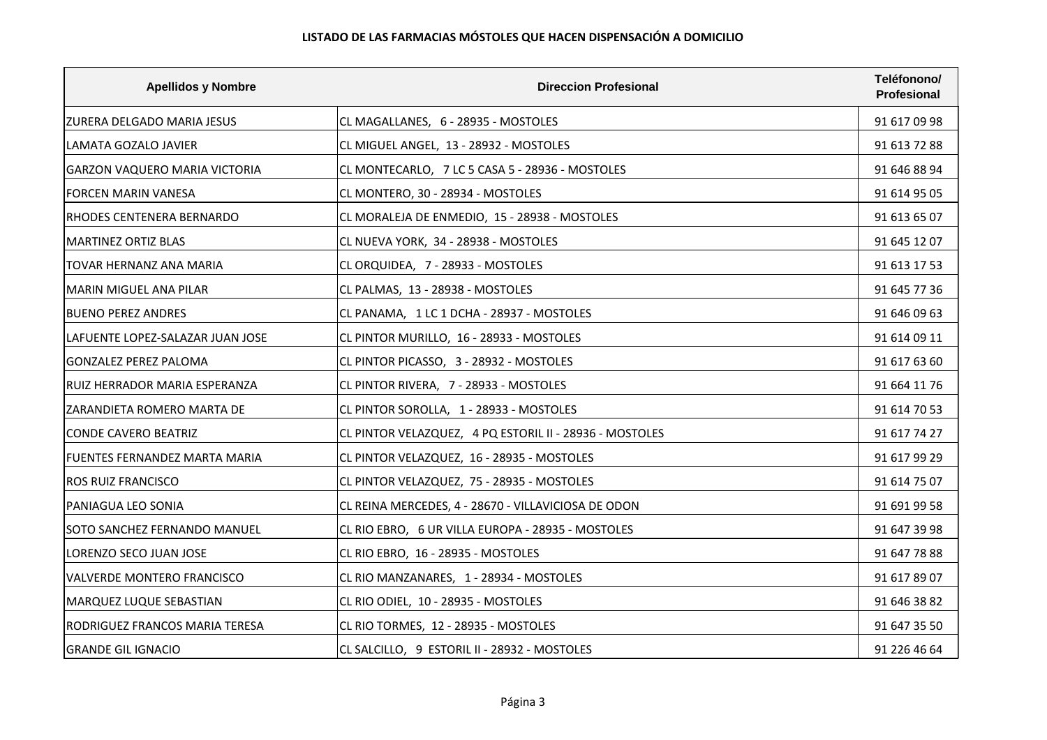| <b>Apellidos y Nombre</b>         | <b>Direccion Profesional</b>                            | Teléfonono/<br>Profesional |
|-----------------------------------|---------------------------------------------------------|----------------------------|
| IZURERA DELGADO MARIA JESUS       | CL MAGALLANES, 6 - 28935 - MOSTOLES                     | 91 617 09 98               |
| LAMATA GOZALO JAVIER              | CL MIGUEL ANGEL, 13 - 28932 - MOSTOLES                  | 91 613 72 88               |
| GARZON VAQUERO MARIA VICTORIA     | CL MONTECARLO, 7 LC 5 CASA 5 - 28936 - MOSTOLES         | 91 646 88 94               |
| FORCEN MARIN VANESA               | CL MONTERO, 30 - 28934 - MOSTOLES                       | 91 614 95 05               |
| IRHODES CENTENERA BERNARDO        | CL MORALEJA DE ENMEDIO, 15 - 28938 - MOSTOLES           | 91 613 65 07               |
| <b>MARTINEZ ORTIZ BLAS</b>        | CL NUEVA YORK, 34 - 28938 - MOSTOLES                    | 91 645 12 07               |
| TOVAR HERNANZ ANA MARIA           | CL ORQUIDEA, 7 - 28933 - MOSTOLES                       | 91 613 17 53               |
| MARIN MIGUEL ANA PILAR            | CL PALMAS, 13 - 28938 - MOSTOLES                        | 91 645 77 36               |
| <b>BUENO PEREZ ANDRES</b>         | CL PANAMA, 1 LC 1 DCHA - 28937 - MOSTOLES               | 91 646 09 63               |
| LAFUENTE LOPEZ-SALAZAR JUAN JOSE  | CL PINTOR MURILLO, 16 - 28933 - MOSTOLES                | 91 614 09 11               |
| IGONZALEZ PEREZ PALOMA            | CL PINTOR PICASSO, 3 - 28932 - MOSTOLES                 | 91 617 63 60               |
| RUIZ HERRADOR MARIA ESPERANZA     | CL PINTOR RIVERA, 7 - 28933 - MOSTOLES                  | 91 664 11 76               |
| ZARANDIETA ROMERO MARTA DE        | CL PINTOR SOROLLA, 1 - 28933 - MOSTOLES                 | 91 614 70 53               |
| CONDE CAVERO BEATRIZ              | CL PINTOR VELAZQUEZ, 4 PQ ESTORIL II - 28936 - MOSTOLES | 91 617 74 27               |
| FUENTES FERNANDEZ MARTA MARIA     | CL PINTOR VELAZQUEZ, 16 - 28935 - MOSTOLES              | 91 617 99 29               |
| <b>ROS RUIZ FRANCISCO</b>         | CL PINTOR VELAZQUEZ, 75 - 28935 - MOSTOLES              | 91 614 75 07               |
| PANIAGUA LEO SONIA                | CL REINA MERCEDES, 4 - 28670 - VILLAVICIOSA DE ODON     | 91 691 99 58               |
| SOTO SANCHEZ FERNANDO MANUEL      | CL RIO EBRO, 6 UR VILLA EUROPA - 28935 - MOSTOLES       | 91 647 39 98               |
| LORENZO SECO JUAN JOSE            | CL RIO EBRO, 16 - 28935 - MOSTOLES                      | 91 647 78 88               |
| <b>VALVERDE MONTERO FRANCISCO</b> | CL RIO MANZANARES, 1 - 28934 - MOSTOLES                 | 91 617 89 07               |
| MARQUEZ LUQUE SEBASTIAN           | CL RIO ODIEL, 10 - 28935 - MOSTOLES                     | 91 646 38 82               |
| RODRIGUEZ FRANCOS MARIA TERESA    | CL RIO TORMES, 12 - 28935 - MOSTOLES                    | 91 647 35 50               |
| <b>GRANDE GIL IGNACIO</b>         | CL SALCILLO, 9 ESTORIL II - 28932 - MOSTOLES            | 91 226 46 64               |